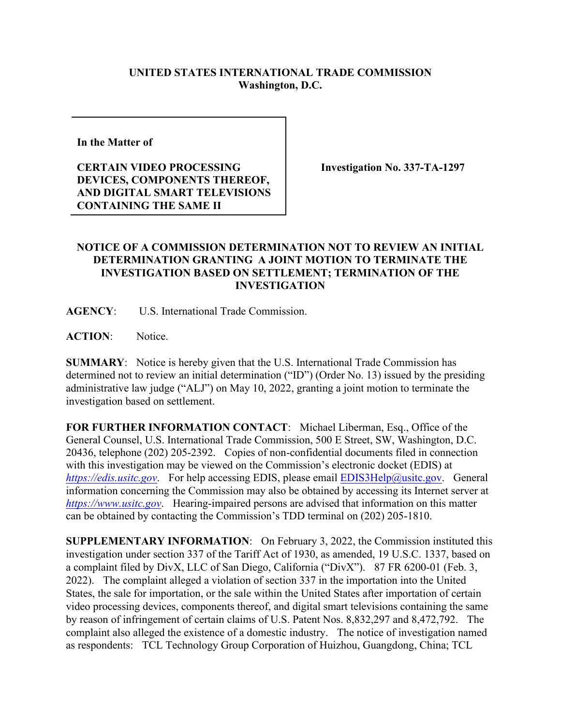## **UNITED STATES INTERNATIONAL TRADE COMMISSION Washington, D.C.**

**In the Matter of** 

**CERTAIN VIDEO PROCESSING DEVICES, COMPONENTS THEREOF, AND DIGITAL SMART TELEVISIONS CONTAINING THE SAME II**

**Investigation No. 337-TA-1297**

## **NOTICE OF A COMMISSION DETERMINATION NOT TO REVIEW AN INITIAL DETERMINATION GRANTING A JOINT MOTION TO TERMINATE THE INVESTIGATION BASED ON SETTLEMENT; TERMINATION OF THE INVESTIGATION**

**AGENCY**: U.S. International Trade Commission.

**ACTION**: Notice.

**SUMMARY**: Notice is hereby given that the U.S. International Trade Commission has determined not to review an initial determination ("ID") (Order No. 13) issued by the presiding administrative law judge ("ALJ") on May 10, 2022, granting a joint motion to terminate the investigation based on settlement.

**FOR FURTHER INFORMATION CONTACT**: Michael Liberman, Esq., Office of the General Counsel, U.S. International Trade Commission, 500 E Street, SW, Washington, D.C. 20436, telephone (202) 205-2392. Copies of non-confidential documents filed in connection with this investigation may be viewed on the Commission's electronic docket (EDIS) at *[https://edis.usitc.gov](https://edis.usitc.gov/).* For help accessing EDIS, please email [EDIS3Help@usitc.gov.](mailto:EDIS3Help@usitc.gov) General information concerning the Commission may also be obtained by accessing its Internet server at *[https://www.usitc.gov](https://www.usitc.gov/)*. Hearing-impaired persons are advised that information on this matter can be obtained by contacting the Commission's TDD terminal on (202) 205-1810.

**SUPPLEMENTARY INFORMATION**: On February 3, 2022, the Commission instituted this investigation under section 337 of the Tariff Act of 1930, as amended, 19 U.S.C. 1337, based on a complaint filed by DivX, LLC of San Diego, California ("DivX"). 87 FR 6200-01 (Feb. 3, 2022). The complaint alleged a violation of section 337 in the importation into the United States, the sale for importation, or the sale within the United States after importation of certain video processing devices, components thereof, and digital smart televisions containing the same by reason of infringement of certain claims of U.S. Patent Nos. 8,832,297 and 8,472,792. The complaint also alleged the existence of a domestic industry. The notice of investigation named as respondents: TCL Technology Group Corporation of Huizhou, Guangdong, China; TCL